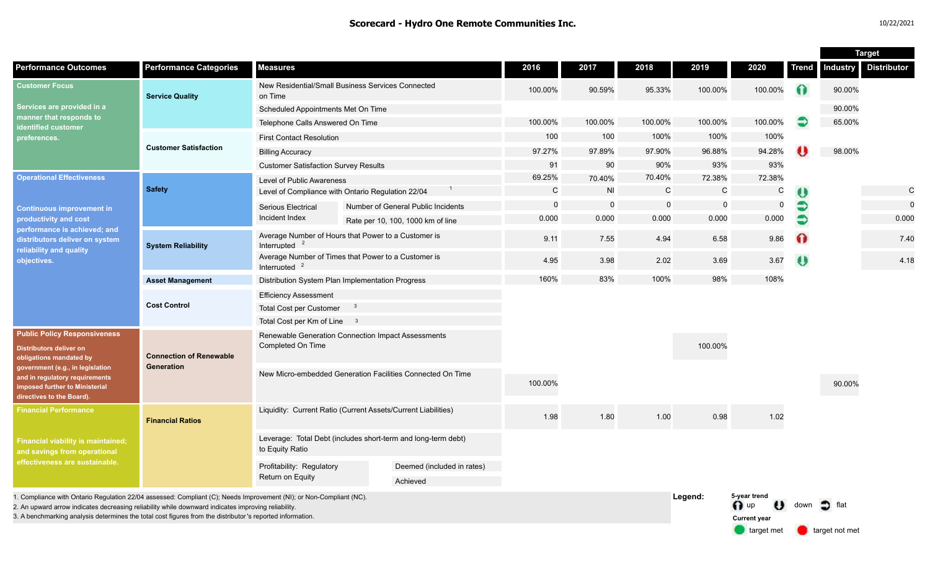|                                                                                                                                                                                                                                              |                                              |                                                                                         |  |                                    |              |             |              |              |                                                       |              | <b>Target</b>     |                    |
|----------------------------------------------------------------------------------------------------------------------------------------------------------------------------------------------------------------------------------------------|----------------------------------------------|-----------------------------------------------------------------------------------------|--|------------------------------------|--------------|-------------|--------------|--------------|-------------------------------------------------------|--------------|-------------------|--------------------|
| <b>Performance Outcomes</b>                                                                                                                                                                                                                  | <b>Performance Categories</b>                | <b>Measures</b>                                                                         |  |                                    | 2016         | 2017        | 2018         | 2019         | 2020                                                  | <b>Trend</b> | <b>Industry</b>   | <b>Distributor</b> |
| <b>Customer Focus</b><br>Services are provided in a<br>manner that responds to<br>identified customer<br>preferences.                                                                                                                        | <b>Service Quality</b>                       | New Residential/Small Business Services Connected<br>on Time                            |  | 100.00%                            | 90.59%       | 95.33%      | 100.00%      | 100.00%      | 0                                                     | 90.00%       |                   |                    |
|                                                                                                                                                                                                                                              |                                              | Scheduled Appointments Met On Time                                                      |  |                                    |              |             |              |              |                                                       |              | 90.00%            |                    |
|                                                                                                                                                                                                                                              |                                              | Telephone Calls Answered On Time                                                        |  | 100.00%                            | 100.00%      | 100.00%     | 100.00%      | 100.00%      | €                                                     | 65.00%       |                   |                    |
|                                                                                                                                                                                                                                              | <b>Customer Satisfaction</b>                 | <b>First Contact Resolution</b>                                                         |  |                                    | 100          | 100         | 100%         | 100%         | 100%                                                  |              |                   |                    |
|                                                                                                                                                                                                                                              |                                              | <b>Billing Accuracy</b>                                                                 |  |                                    | 97.27%       | 97.89%      | 97.90%       | 96.88%       | 94.28%                                                |              | 98.00%            |                    |
|                                                                                                                                                                                                                                              |                                              | <b>Customer Satisfaction Survey Results</b>                                             |  | 91                                 | 90           | 90%         | 93%          | 93%          |                                                       |              |                   |                    |
| <b>Operational Effectiveness</b><br><b>Continuous improvement in</b><br>productivity and cost<br>performance is achieved; and<br>distributors deliver on system<br>reliability and quality<br>objectives.                                    | <b>Safety</b>                                | Level of Public Awareness                                                               |  |                                    | 69.25%       | 70.40%      | 70.40%       | 72.38%       | 72.38%                                                |              |                   |                    |
|                                                                                                                                                                                                                                              |                                              | Level of Compliance with Ontario Regulation 22/04                                       |  |                                    | $\mathsf{C}$ | <b>NI</b>   | $\mathsf{C}$ | $\mathsf{C}$ | C                                                     | U            |                   | $\mathsf{C}$       |
|                                                                                                                                                                                                                                              |                                              | Serious Electrical                                                                      |  | Number of General Public Incidents | $\mathbf 0$  | $\mathbf 0$ | $\Omega$     | $\Omega$     | $\mathbf 0$                                           | €            |                   | $\mathbf 0$        |
|                                                                                                                                                                                                                                              |                                              | Incident Index                                                                          |  | Rate per 10, 100, 1000 km of line  | 0.000        | 0.000       | 0.000        | 0.000        | 0.000                                                 | Э            |                   | 0.000              |
|                                                                                                                                                                                                                                              | <b>System Reliability</b>                    | Average Number of Hours that Power to a Customer is<br>Interrupted                      |  |                                    | 9.11         | 7.55        | 4.94         | 6.58         | 9.86                                                  | $\Omega$     |                   | 7.40               |
|                                                                                                                                                                                                                                              |                                              | Average Number of Times that Power to a Customer is<br>Interrupted                      |  |                                    | 4.95         | 3.98        | 2.02         | 3.69         | 3.67                                                  | $\bullet$    |                   | 4.18               |
|                                                                                                                                                                                                                                              | <b>Asset Management</b>                      | Distribution System Plan Implementation Progress                                        |  |                                    | 160%         | 83%         | 100%         | 98%          | 108%                                                  |              |                   |                    |
|                                                                                                                                                                                                                                              | <b>Cost Control</b>                          | <b>Efficiency Assessment</b>                                                            |  |                                    |              |             |              |              |                                                       |              |                   |                    |
|                                                                                                                                                                                                                                              |                                              | Total Cost per Customer                                                                 |  |                                    |              |             |              |              |                                                       |              |                   |                    |
|                                                                                                                                                                                                                                              |                                              | Total Cost per Km of Line 3                                                             |  |                                    |              |             |              |              |                                                       |              |                   |                    |
| <b>Public Policy Responsiveness</b><br><b>Distributors deliver on</b><br>obligations mandated by<br>government (e.g., in legislation<br>and in regulatory requirements<br><b>imposed further to Ministerial</b><br>directives to the Board). | <b>Connection of Renewable</b><br>Generation | Renewable Generation Connection Impact Assessments<br>Completed On Time                 |  |                                    |              |             |              | 100.00%      |                                                       |              |                   |                    |
|                                                                                                                                                                                                                                              |                                              | New Micro-embedded Generation Facilities Connected On Time                              |  |                                    | 100.00%      |             |              |              |                                                       |              | 90.00%            |                    |
| <b>Financial Performance</b><br><b>Financial viability is maintained;</b><br>and savings from operational<br>effectiveness are sustainable.                                                                                                  | <b>Financial Ratios</b>                      | Liquidity: Current Ratio (Current Assets/Current Liabilities)                           |  |                                    | 1.98         | 1.80        | 1.00         | 0.98         | 1.02                                                  |              |                   |                    |
|                                                                                                                                                                                                                                              |                                              | Leverage: Total Debt (includes short-term and long-term debt)<br>to Equity Ratio        |  |                                    |              |             |              |              |                                                       |              |                   |                    |
|                                                                                                                                                                                                                                              |                                              | Profitability: Regulatory<br>Deemed (included in rates)<br>Return on Equity<br>Achieved |  |                                    |              |             |              |              |                                                       |              |                   |                    |
| 1. Compliance with Ontario Regulation 22/04 assessed: Compliant (C); Needs Improvement (NI); or Non-Compliant (NC).<br>2. An upward arrow indicates decreasing reliability while downward indicates improving reliability                    |                                              |                                                                                         |  |                                    |              |             |              | Legend:      | 5-year trend<br>$\bigcap$ up<br>$\boldsymbol{\theta}$ | down         | $\bullet$<br>flat |                    |

3. A benchmarking analysis determines the total cost figures from the distributor 's reported information.

target met **target not met** 

**Current year**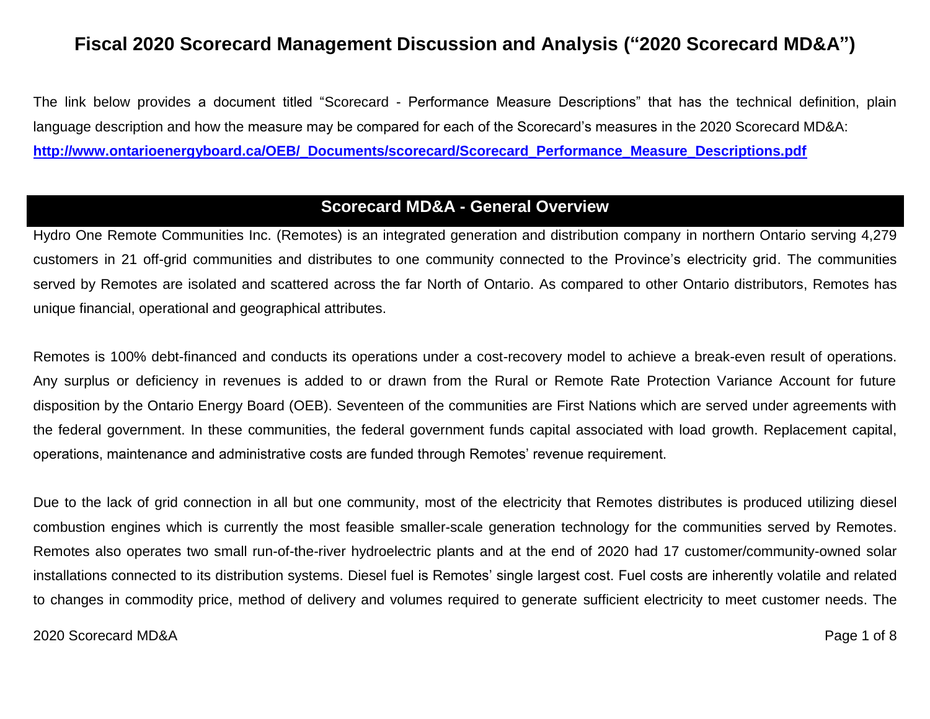# **Fiscal 2020 Scorecard Management Discussion and Analysis ("2020 Scorecard MD&A")**

The link below provides a document titled "Scorecard - Performance Measure Descriptions" that has the technical definition, plain language description and how the measure may be compared for each of the Scorecard's measures in the 2020 Scorecard MD&A: **[http://www.ontarioenergyboard.ca/OEB/\\_Documents/scorecard/Scorecard\\_Performance\\_Measure\\_Descriptions.pdf](http://www.ontarioenergyboard.ca/OEB/_Documents/scorecard/Scorecard_Performance_Measure_Descriptions.pdf)**

# **Scorecard MD&A - General Overview**

Hydro One Remote Communities Inc. (Remotes) is an integrated generation and distribution company in northern Ontario serving 4,279 customers in 21 off-grid communities and distributes to one community connected to the Province's electricity grid. The communities served by Remotes are isolated and scattered across the far North of Ontario. As compared to other Ontario distributors, Remotes has unique financial, operational and geographical attributes.

Remotes is 100% debt-financed and conducts its operations under a cost-recovery model to achieve a break-even result of operations. Any surplus or deficiency in revenues is added to or drawn from the Rural or Remote Rate Protection Variance Account for future disposition by the Ontario Energy Board (OEB). Seventeen of the communities are First Nations which are served under agreements with the federal government. In these communities, the federal government funds capital associated with load growth. Replacement capital, operations, maintenance and administrative costs are funded through Remotes' revenue requirement.

Due to the lack of grid connection in all but one community, most of the electricity that Remotes distributes is produced utilizing diesel combustion engines which is currently the most feasible smaller-scale generation technology for the communities served by Remotes. Remotes also operates two small run-of-the-river hydroelectric plants and at the end of 2020 had 17 customer/community-owned solar installations connected to its distribution systems. Diesel fuel is Remotes' single largest cost. Fuel costs are inherently volatile and related to changes in commodity price, method of delivery and volumes required to generate sufficient electricity to meet customer needs. The

### 2020 Scorecard MD&A Page 1 of 8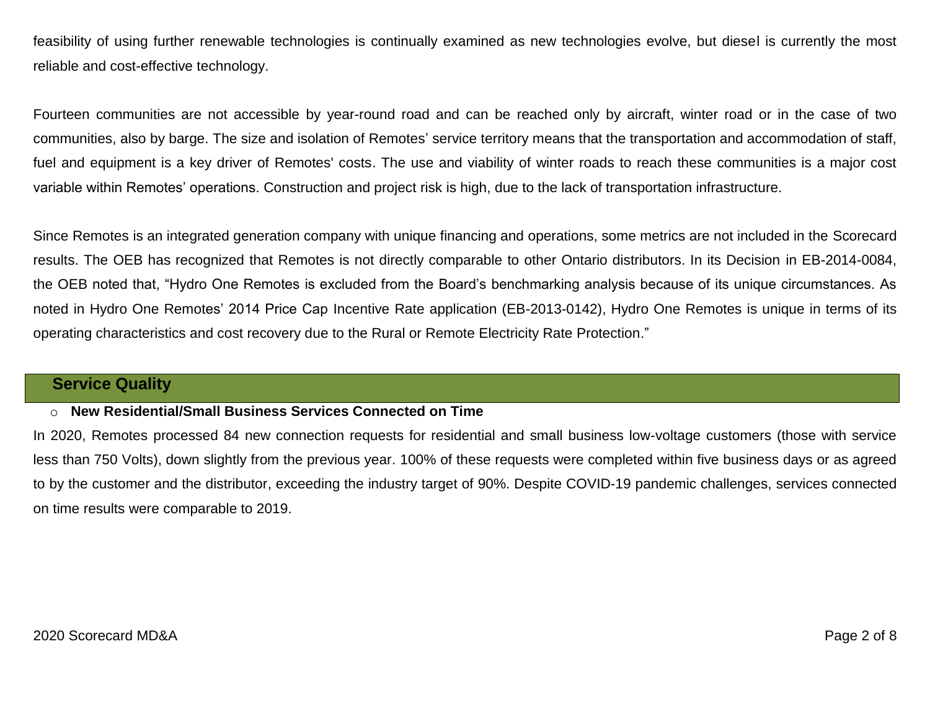feasibility of using further renewable technologies is continually examined as new technologies evolve, but diesel is currently the most reliable and cost-effective technology.

Fourteen communities are not accessible by year-round road and can be reached only by aircraft, winter road or in the case of two communities, also by barge. The size and isolation of Remotes' service territory means that the transportation and accommodation of staff, fuel and equipment is a key driver of Remotes' costs. The use and viability of winter roads to reach these communities is a major cost variable within Remotes' operations. Construction and project risk is high, due to the lack of transportation infrastructure.

Since Remotes is an integrated generation company with unique financing and operations, some metrics are not included in the Scorecard results. The OEB has recognized that Remotes is not directly comparable to other Ontario distributors. In its Decision in EB-2014-0084, the OEB noted that, "Hydro One Remotes is excluded from the Board's benchmarking analysis because of its unique circumstances. As noted in Hydro One Remotes' 2014 Price Cap Incentive Rate application (EB-2013-0142), Hydro One Remotes is unique in terms of its operating characteristics and cost recovery due to the Rural or Remote Electricity Rate Protection."

# **Service Quality**

### o **New Residential/Small Business Services Connected on Time**

In 2020, Remotes processed 84 new connection requests for residential and small business low-voltage customers (those with service less than 750 Volts), down slightly from the previous year. 100% of these requests were completed within five business days or as agreed to by the customer and the distributor, exceeding the industry target of 90%. Despite COVID-19 pandemic challenges, services connected on time results were comparable to 2019.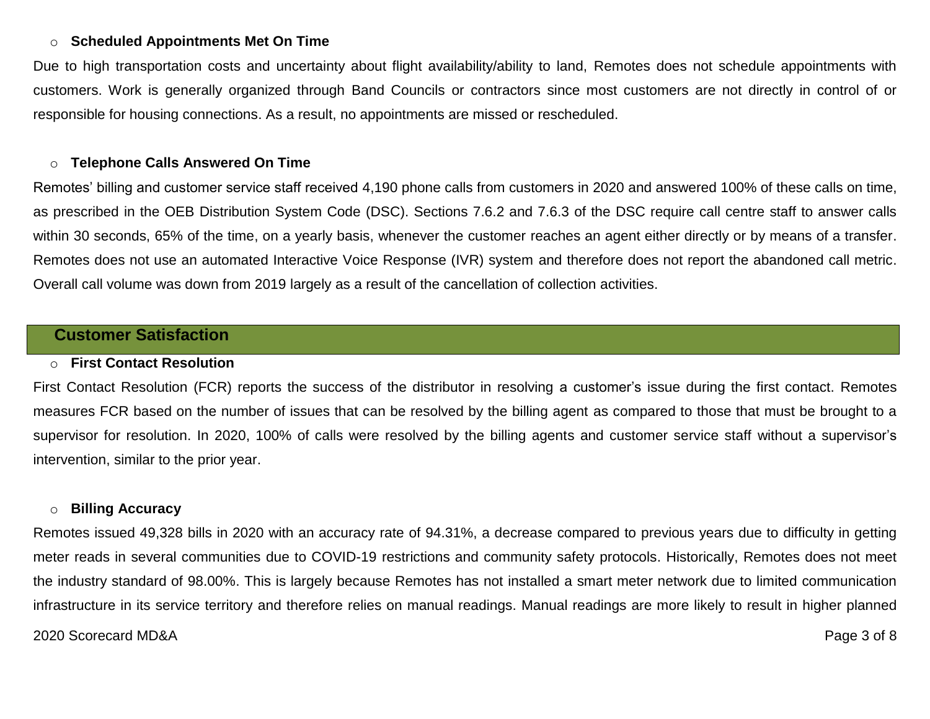## o **Scheduled Appointments Met On Time**

Due to high transportation costs and uncertainty about flight availability/ability to land, Remotes does not schedule appointments with customers. Work is generally organized through Band Councils or contractors since most customers are not directly in control of or responsible for housing connections. As a result, no appointments are missed or rescheduled.

#### o **Telephone Calls Answered On Time**

Remotes' billing and customer service staff received 4,190 phone calls from customers in 2020 and answered 100% of these calls on time, as prescribed in the OEB Distribution System Code (DSC). Sections 7.6.2 and 7.6.3 of the DSC require call centre staff to answer calls within 30 seconds, 65% of the time, on a yearly basis, whenever the customer reaches an agent either directly or by means of a transfer. Remotes does not use an automated Interactive Voice Response (IVR) system and therefore does not report the abandoned call metric. Overall call volume was down from 2019 largely as a result of the cancellation of collection activities.

# **Customer Satisfaction**

#### o **First Contact Resolution**

First Contact Resolution (FCR) reports the success of the distributor in resolving a customer's issue during the first contact. Remotes measures FCR based on the number of issues that can be resolved by the billing agent as compared to those that must be brought to a supervisor for resolution. In 2020, 100% of calls were resolved by the billing agents and customer service staff without a supervisor's intervention, similar to the prior year.

#### o **Billing Accuracy**

2020 Scorecard MD&A Page 3 of 8 Remotes issued 49,328 bills in 2020 with an accuracy rate of 94.31%, a decrease compared to previous years due to difficulty in getting meter reads in several communities due to COVID-19 restrictions and community safety protocols. Historically, Remotes does not meet the industry standard of 98.00%. This is largely because Remotes has not installed a smart meter network due to limited communication infrastructure in its service territory and therefore relies on manual readings. Manual readings are more likely to result in higher planned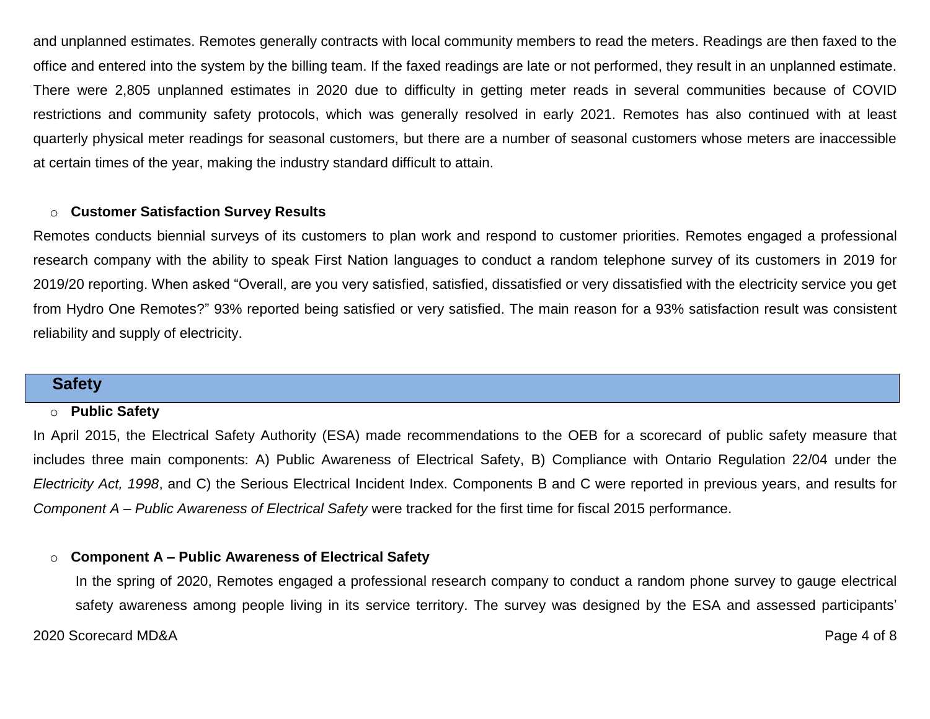and unplanned estimates. Remotes generally contracts with local community members to read the meters. Readings are then faxed to the office and entered into the system by the billing team. If the faxed readings are late or not performed, they result in an unplanned estimate. There were 2,805 unplanned estimates in 2020 due to difficulty in getting meter reads in several communities because of COVID restrictions and community safety protocols, which was generally resolved in early 2021. Remotes has also continued with at least quarterly physical meter readings for seasonal customers, but there are a number of seasonal customers whose meters are inaccessible at certain times of the year, making the industry standard difficult to attain.

### o **Customer Satisfaction Survey Results**

Remotes conducts biennial surveys of its customers to plan work and respond to customer priorities. Remotes engaged a professional research company with the ability to speak First Nation languages to conduct a random telephone survey of its customers in 2019 for 2019/20 reporting. When asked "Overall, are you very satisfied, satisfied, dissatisfied or very dissatisfied with the electricity service you get from Hydro One Remotes?" 93% reported being satisfied or very satisfied. The main reason for a 93% satisfaction result was consistent reliability and supply of electricity.

### **Safety**

#### o **Public Safety**

In April 2015, the Electrical Safety Authority (ESA) made recommendations to the OEB for a scorecard of public safety measure that includes three main components: A) Public Awareness of Electrical Safety, B) Compliance with Ontario Regulation 22/04 under the *Electricity Act, 1998*, and C) the Serious Electrical Incident Index. Components B and C were reported in previous years, and results for *Component A – Public Awareness of Electrical Safety* were tracked for the first time for fiscal 2015 performance.

#### o **Component A – Public Awareness of Electrical Safety**

2020 Scorecard MD&A Page 4 of 8 In the spring of 2020, Remotes engaged a professional research company to conduct a random phone survey to gauge electrical safety awareness among people living in its service territory. The survey was designed by the ESA and assessed participants'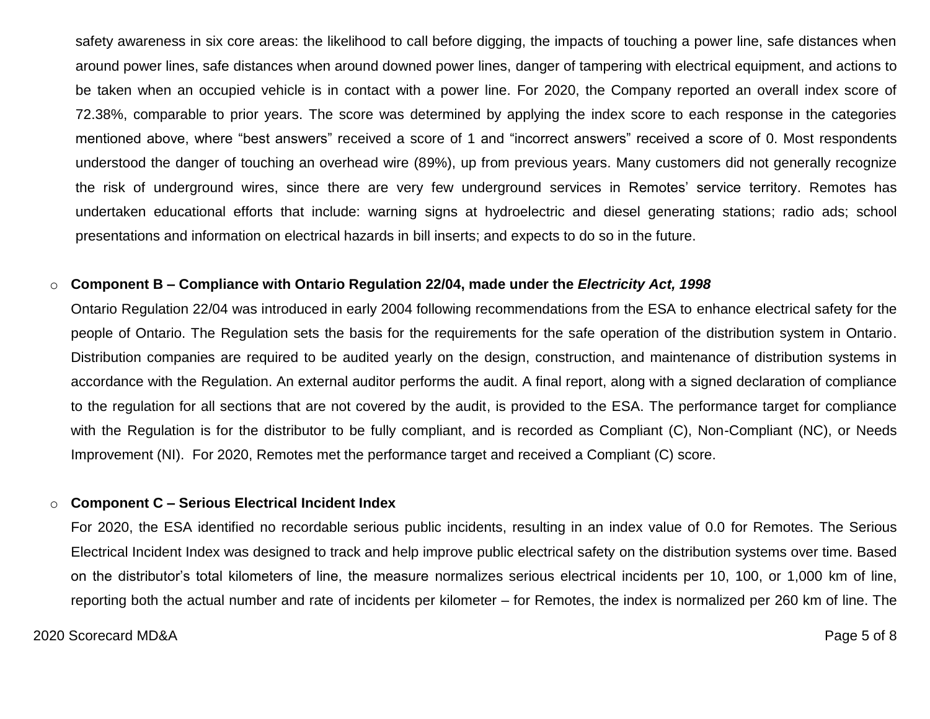safety awareness in six core areas: the likelihood to call before digging, the impacts of touching a power line, safe distances when around power lines, safe distances when around downed power lines, danger of tampering with electrical equipment, and actions to be taken when an occupied vehicle is in contact with a power line. For 2020, the Company reported an overall index score of 72.38%, comparable to prior years. The score was determined by applying the index score to each response in the categories mentioned above, where "best answers" received a score of 1 and "incorrect answers" received a score of 0. Most respondents understood the danger of touching an overhead wire (89%), up from previous years. Many customers did not generally recognize the risk of underground wires, since there are very few underground services in Remotes' service territory. Remotes has undertaken educational efforts that include: warning signs at hydroelectric and diesel generating stations; radio ads; school presentations and information on electrical hazards in bill inserts; and expects to do so in the future.

#### o **Component B – Compliance with Ontario Regulation 22/04, made under the** *Electricity Act, 1998*

Ontario Regulation 22/04 was introduced in early 2004 following recommendations from the ESA to enhance electrical safety for the people of Ontario. The Regulation sets the basis for the requirements for the safe operation of the distribution system in Ontario. Distribution companies are required to be audited yearly on the design, construction, and maintenance of distribution systems in accordance with the Regulation. An external auditor performs the audit. A final report, along with a signed declaration of compliance to the regulation for all sections that are not covered by the audit, is provided to the ESA. The performance target for compliance with the Regulation is for the distributor to be fully compliant, and is recorded as Compliant (C), Non-Compliant (NC), or Needs Improvement (NI). For 2020, Remotes met the performance target and received a Compliant (C) score.

#### o **Component C – Serious Electrical Incident Index**

For 2020, the ESA identified no recordable serious public incidents, resulting in an index value of 0.0 for Remotes. The Serious Electrical Incident Index was designed to track and help improve public electrical safety on the distribution systems over time. Based on the distributor's total kilometers of line, the measure normalizes serious electrical incidents per 10, 100, or 1,000 km of line, reporting both the actual number and rate of incidents per kilometer – for Remotes, the index is normalized per 260 km of line. The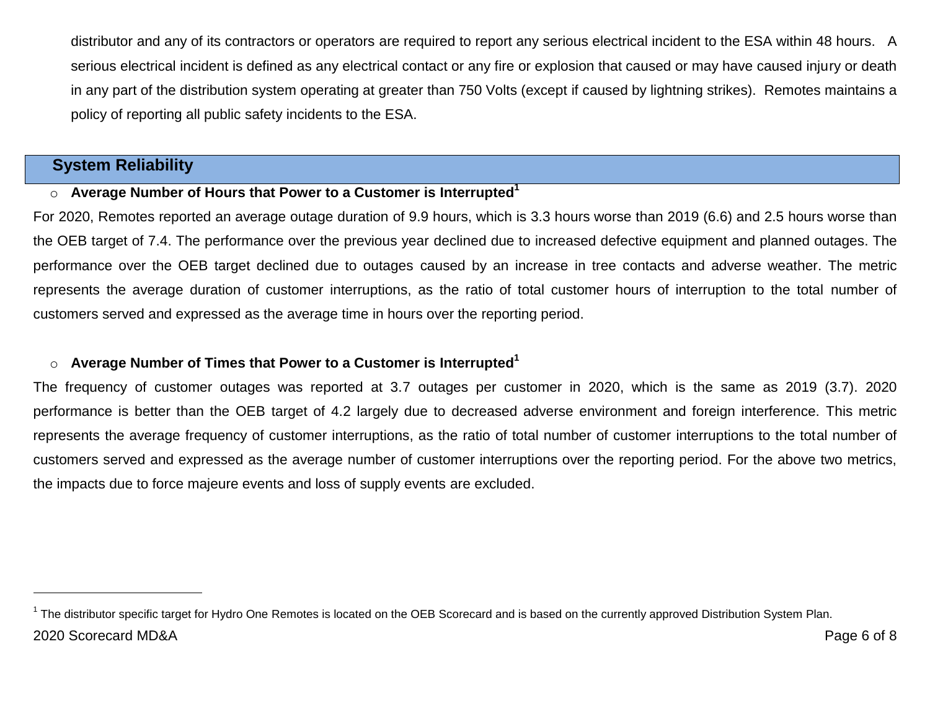distributor and any of its contractors or operators are required to report any serious electrical incident to the ESA within 48 hours. A serious electrical incident is defined as any electrical contact or any fire or explosion that caused or may have caused injury or death in any part of the distribution system operating at greater than 750 Volts (except if caused by lightning strikes). Remotes maintains a policy of reporting all public safety incidents to the ESA.

# **System Reliability**

l

## o **Average Number of Hours that Power to a Customer is Interrupted<sup>1</sup>**

For 2020, Remotes reported an average outage duration of 9.9 hours, which is 3.3 hours worse than 2019 (6.6) and 2.5 hours worse than the OEB target of 7.4. The performance over the previous year declined due to increased defective equipment and planned outages. The performance over the OEB target declined due to outages caused by an increase in tree contacts and adverse weather. The metric represents the average duration of customer interruptions, as the ratio of total customer hours of interruption to the total number of customers served and expressed as the average time in hours over the reporting period.

# o **Average Number of Times that Power to a Customer is Interrupted<sup>1</sup>**

The frequency of customer outages was reported at 3.7 outages per customer in 2020, which is the same as 2019 (3.7). 2020 performance is better than the OEB target of 4.2 largely due to decreased adverse environment and foreign interference. This metric represents the average frequency of customer interruptions, as the ratio of total number of customer interruptions to the total number of customers served and expressed as the average number of customer interruptions over the reporting period. For the above two metrics, the impacts due to force majeure events and loss of supply events are excluded.

<sup>2020</sup> Scorecard MD&A Page 6 of 8  $1$  The distributor specific target for Hydro One Remotes is located on the OEB Scorecard and is based on the currently approved Distribution System Plan.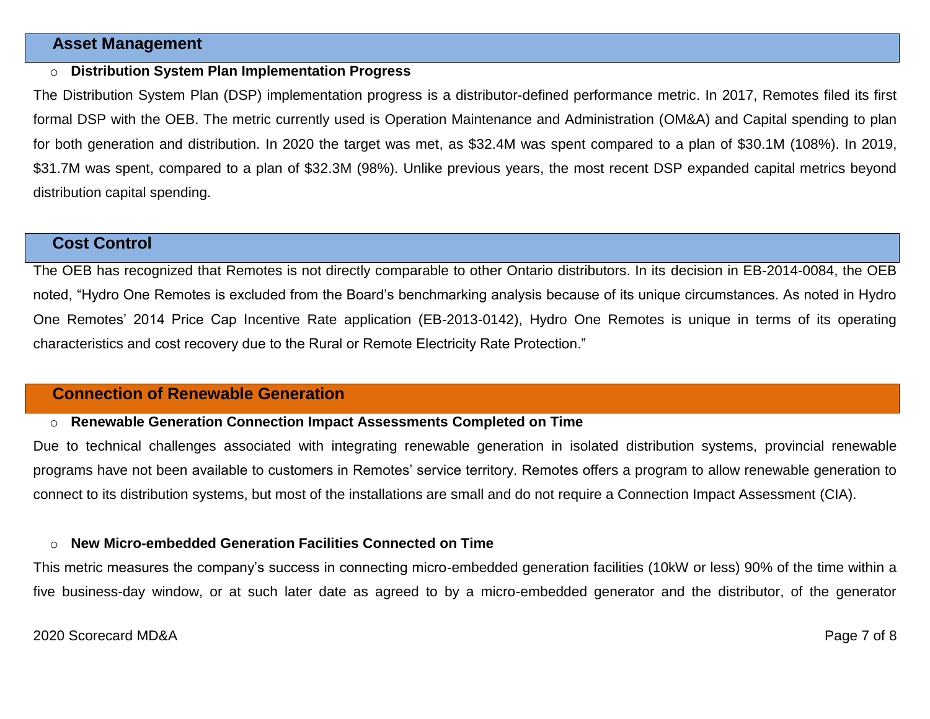## **Asset Management**

#### o **Distribution System Plan Implementation Progress**

The Distribution System Plan (DSP) implementation progress is a distributor-defined performance metric. In 2017, Remotes filed its first formal DSP with the OEB. The metric currently used is Operation Maintenance and Administration (OM&A) and Capital spending to plan for both generation and distribution. In 2020 the target was met, as \$32.4M was spent compared to a plan of \$30.1M (108%). In 2019, \$31.7M was spent, compared to a plan of \$32.3M (98%). Unlike previous years, the most recent DSP expanded capital metrics beyond distribution capital spending.

# **Cost Control**

The OEB has recognized that Remotes is not directly comparable to other Ontario distributors. In its decision in EB-2014-0084, the OEB noted, "Hydro One Remotes is excluded from the Board's benchmarking analysis because of its unique circumstances. As noted in Hydro One Remotes' 2014 Price Cap Incentive Rate application (EB-2013-0142), Hydro One Remotes is unique in terms of its operating characteristics and cost recovery due to the Rural or Remote Electricity Rate Protection."

# **Connection of Renewable Generation**

#### o **Renewable Generation Connection Impact Assessments Completed on Time**

Due to technical challenges associated with integrating renewable generation in isolated distribution systems, provincial renewable programs have not been available to customers in Remotes' service territory. Remotes offers a program to allow renewable generation to connect to its distribution systems, but most of the installations are small and do not require a Connection Impact Assessment (CIA).

#### o **New Micro-embedded Generation Facilities Connected on Time**

This metric measures the company's success in connecting micro-embedded generation facilities (10kW or less) 90% of the time within a five business-day window, or at such later date as agreed to by a micro-embedded generator and the distributor, of the generator